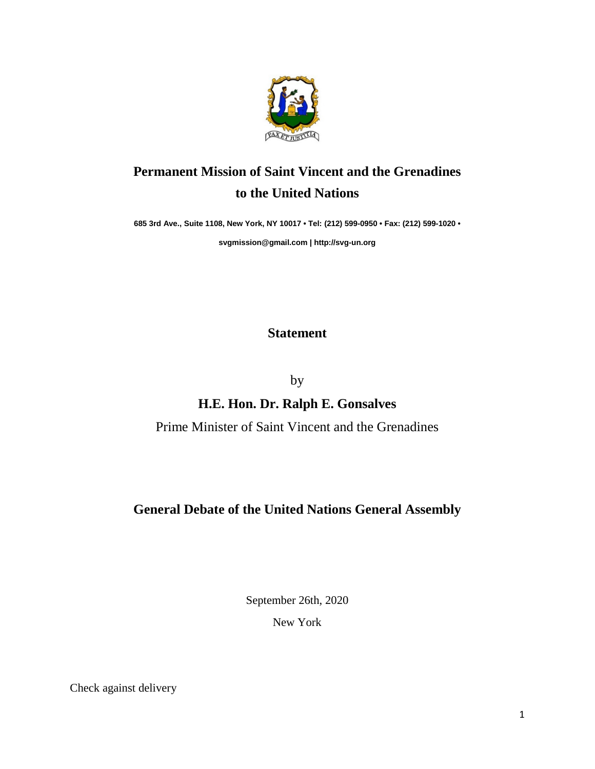

# **Permanent Mission of Saint Vincent and the Grenadines to the United Nations**

**685 3rd Ave., Suite 1108, New York, NY 10017 • Tel: (212) 599-0950 • Fax: (212) 599-1020 •** 

**[svgmission@gmail.com](mailto:svgmission@gmail.com) [| http://svg-un.org](http://svg-un.org/)**

# **Statement**

by

# **H.E. Hon. Dr. Ralph E. Gonsalves**

Prime Minister of Saint Vincent and the Grenadines

# **General Debate of the United Nations General Assembly**

September 26th, 2020

New York

Check against delivery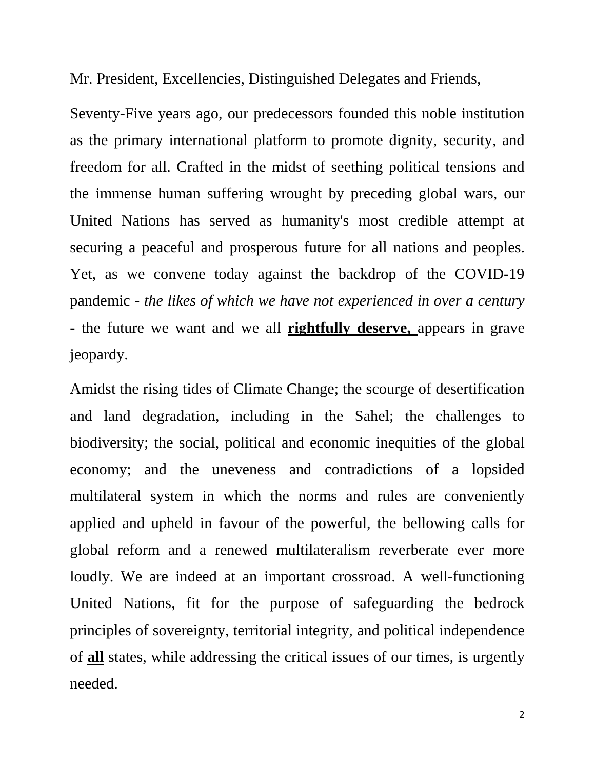Mr. President, Excellencies, Distinguished Delegates and Friends,

Seventy-Five years ago, our predecessors founded this noble institution as the primary international platform to promote dignity, security, and freedom for all. Crafted in the midst of seething political tensions and the immense human suffering wrought by preceding global wars, our United Nations has served as humanity's most credible attempt at securing a peaceful and prosperous future for all nations and peoples. Yet, as we convene today against the backdrop of the COVID-19 pandemic - *the likes of which we have not experienced in over a century* - the future we want and we all **rightfully deserve,** appears in grave jeopardy.

Amidst the rising tides of Climate Change; the scourge of desertification and land degradation, including in the Sahel; the challenges to biodiversity; the social, political and economic inequities of the global economy; and the uneveness and contradictions of a lopsided multilateral system in which the norms and rules are conveniently applied and upheld in favour of the powerful, the bellowing calls for global reform and a renewed multilateralism reverberate ever more loudly. We are indeed at an important crossroad. A well-functioning United Nations, fit for the purpose of safeguarding the bedrock principles of sovereignty, territorial integrity, and political independence of **all** states, while addressing the critical issues of our times, is urgently needed.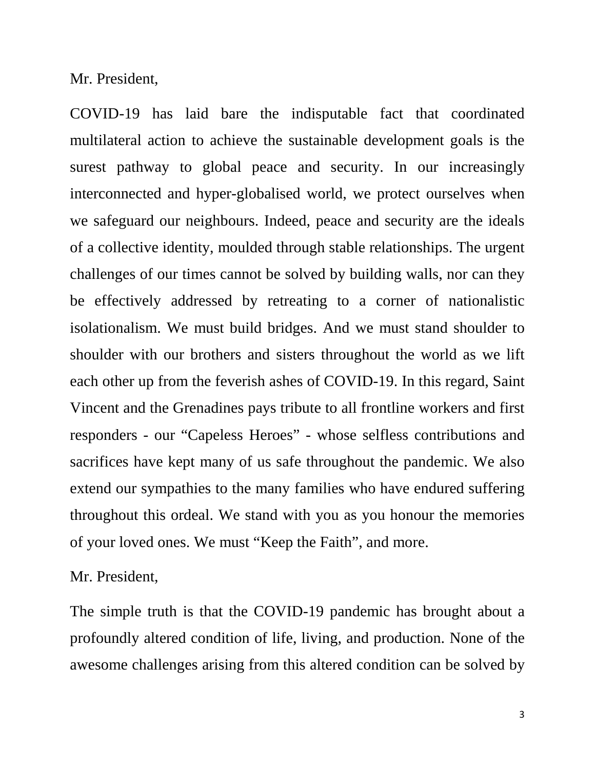Mr. President,

COVID-19 has laid bare the indisputable fact that coordinated multilateral action to achieve the sustainable development goals is the surest pathway to global peace and security. In our increasingly interconnected and hyper-globalised world, we protect ourselves when we safeguard our neighbours. Indeed, peace and security are the ideals of a collective identity, moulded through stable relationships. The urgent challenges of our times cannot be solved by building walls, nor can they be effectively addressed by retreating to a corner of nationalistic isolationalism. We must build bridges. And we must stand shoulder to shoulder with our brothers and sisters throughout the world as we lift each other up from the feverish ashes of COVID-19. In this regard, Saint Vincent and the Grenadines pays tribute to all frontline workers and first responders - our "Capeless Heroes" - whose selfless contributions and sacrifices have kept many of us safe throughout the pandemic. We also extend our sympathies to the many families who have endured suffering throughout this ordeal. We stand with you as you honour the memories of your loved ones. We must "Keep the Faith", and more.

#### Mr. President,

The simple truth is that the COVID-19 pandemic has brought about a profoundly altered condition of life, living, and production. None of the awesome challenges arising from this altered condition can be solved by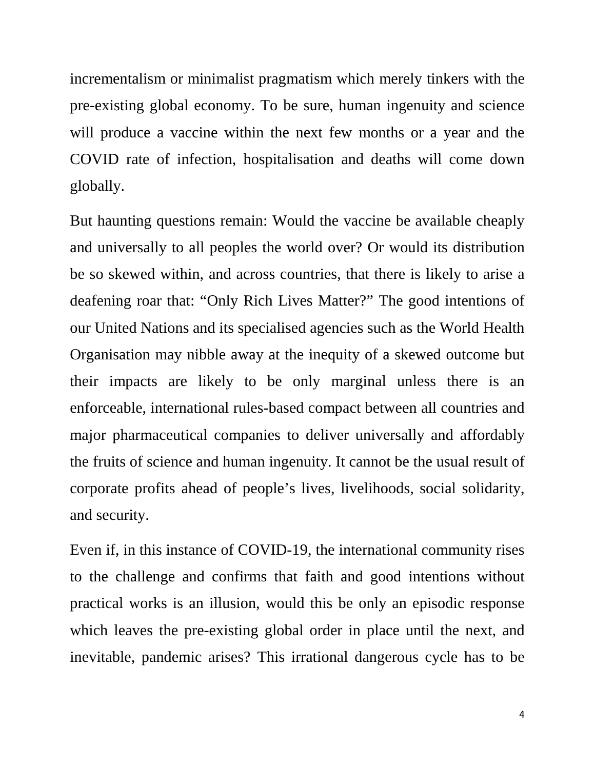incrementalism or minimalist pragmatism which merely tinkers with the pre-existing global economy. To be sure, human ingenuity and science will produce a vaccine within the next few months or a year and the COVID rate of infection, hospitalisation and deaths will come down globally.

But haunting questions remain: Would the vaccine be available cheaply and universally to all peoples the world over? Or would its distribution be so skewed within, and across countries, that there is likely to arise a deafening roar that: "Only Rich Lives Matter?" The good intentions of our United Nations and its specialised agencies such as the World Health Organisation may nibble away at the inequity of a skewed outcome but their impacts are likely to be only marginal unless there is an enforceable, international rules-based compact between all countries and major pharmaceutical companies to deliver universally and affordably the fruits of science and human ingenuity. It cannot be the usual result of corporate profits ahead of people's lives, livelihoods, social solidarity, and security.

Even if, in this instance of COVID-19, the international community rises to the challenge and confirms that faith and good intentions without practical works is an illusion, would this be only an episodic response which leaves the pre-existing global order in place until the next, and inevitable, pandemic arises? This irrational dangerous cycle has to be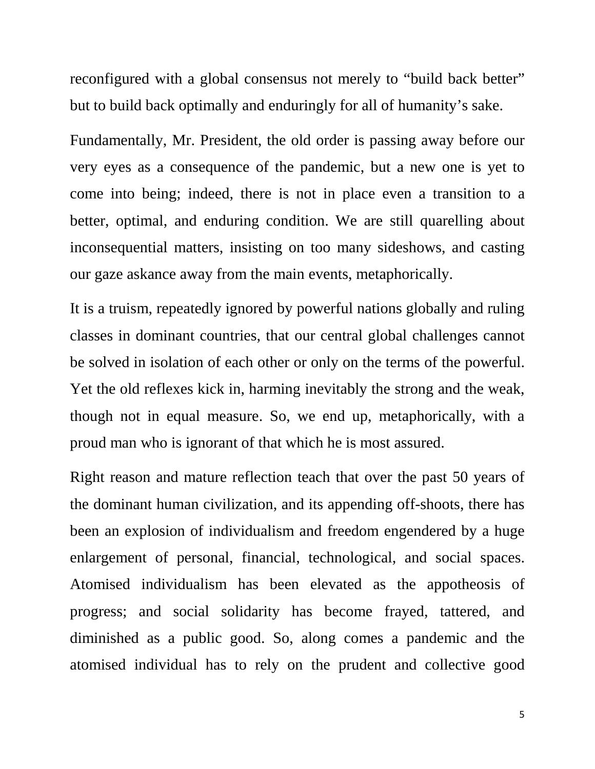reconfigured with a global consensus not merely to "build back better" but to build back optimally and enduringly for all of humanity's sake.

Fundamentally, Mr. President, the old order is passing away before our very eyes as a consequence of the pandemic, but a new one is yet to come into being; indeed, there is not in place even a transition to a better, optimal, and enduring condition. We are still quarelling about inconsequential matters, insisting on too many sideshows, and casting our gaze askance away from the main events, metaphorically.

It is a truism, repeatedly ignored by powerful nations globally and ruling classes in dominant countries, that our central global challenges cannot be solved in isolation of each other or only on the terms of the powerful. Yet the old reflexes kick in, harming inevitably the strong and the weak, though not in equal measure. So, we end up, metaphorically, with a proud man who is ignorant of that which he is most assured.

Right reason and mature reflection teach that over the past 50 years of the dominant human civilization, and its appending off-shoots, there has been an explosion of individualism and freedom engendered by a huge enlargement of personal, financial, technological, and social spaces. Atomised individualism has been elevated as the appotheosis of progress; and social solidarity has become frayed, tattered, and diminished as a public good. So, along comes a pandemic and the atomised individual has to rely on the prudent and collective good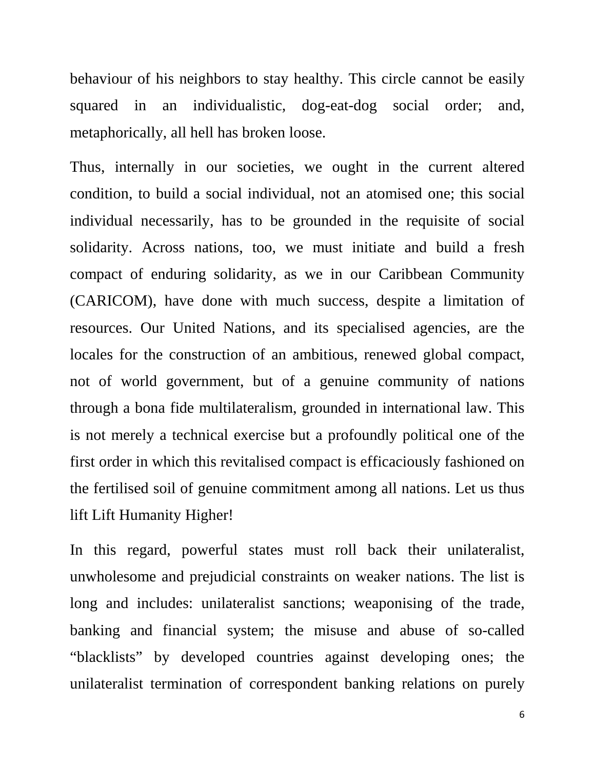behaviour of his neighbors to stay healthy. This circle cannot be easily squared in an individualistic, dog-eat-dog social order; and, metaphorically, all hell has broken loose.

Thus, internally in our societies, we ought in the current altered condition, to build a social individual, not an atomised one; this social individual necessarily, has to be grounded in the requisite of social solidarity. Across nations, too, we must initiate and build a fresh compact of enduring solidarity, as we in our Caribbean Community (CARICOM), have done with much success, despite a limitation of resources. Our United Nations, and its specialised agencies, are the locales for the construction of an ambitious, renewed global compact, not of world government, but of a genuine community of nations through a bona fide multilateralism, grounded in international law. This is not merely a technical exercise but a profoundly political one of the first order in which this revitalised compact is efficaciously fashioned on the fertilised soil of genuine commitment among all nations. Let us thus lift Lift Humanity Higher!

In this regard, powerful states must roll back their unilateralist, unwholesome and prejudicial constraints on weaker nations. The list is long and includes: unilateralist sanctions; weaponising of the trade, banking and financial system; the misuse and abuse of so-called "blacklists" by developed countries against developing ones; the unilateralist termination of correspondent banking relations on purely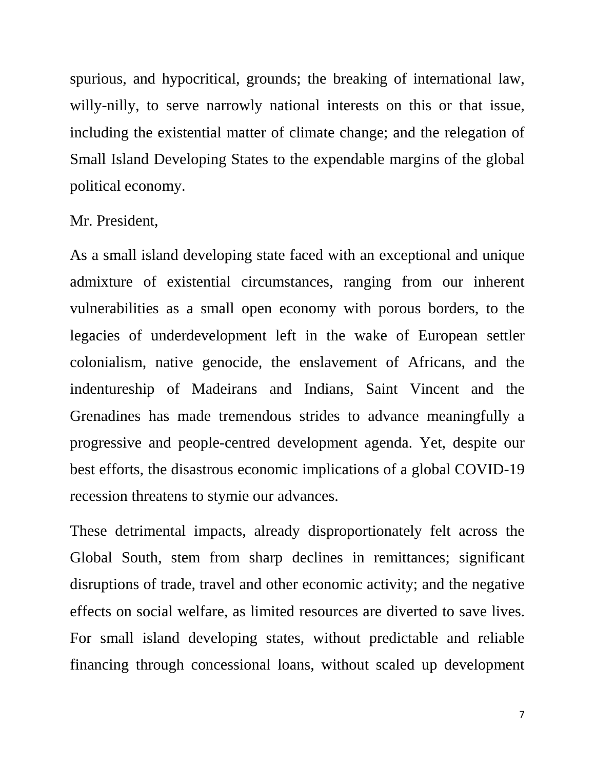spurious, and hypocritical, grounds; the breaking of international law, willy-nilly, to serve narrowly national interests on this or that issue, including the existential matter of climate change; and the relegation of Small Island Developing States to the expendable margins of the global political economy.

### Mr. President,

As a small island developing state faced with an exceptional and unique admixture of existential circumstances, ranging from our inherent vulnerabilities as a small open economy with porous borders, to the legacies of underdevelopment left in the wake of European settler colonialism, native genocide, the enslavement of Africans, and the indentureship of Madeirans and Indians, Saint Vincent and the Grenadines has made tremendous strides to advance meaningfully a progressive and people-centred development agenda. Yet, despite our best efforts, the disastrous economic implications of a global COVID-19 recession threatens to stymie our advances.

These detrimental impacts, already disproportionately felt across the Global South, stem from sharp declines in remittances; significant disruptions of trade, travel and other economic activity; and the negative effects on social welfare, as limited resources are diverted to save lives. For small island developing states, without predictable and reliable financing through concessional loans, without scaled up development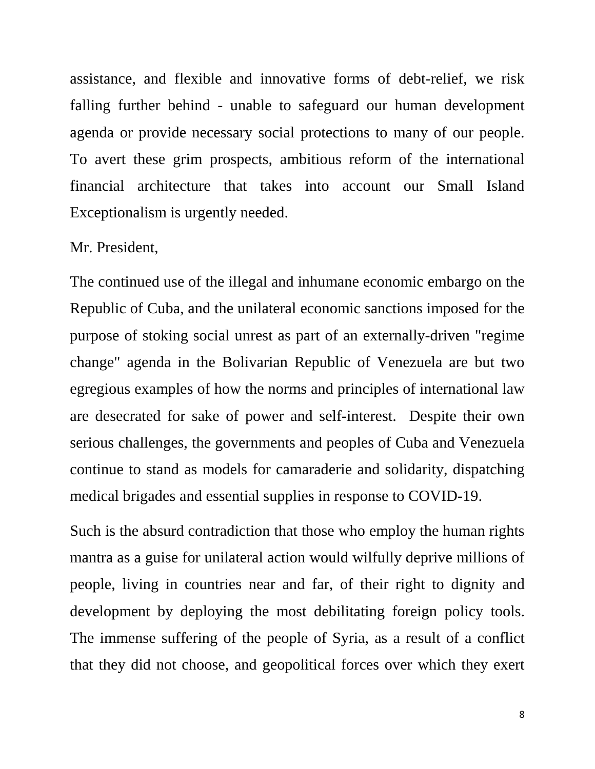assistance, and flexible and innovative forms of debt-relief, we risk falling further behind - unable to safeguard our human development agenda or provide necessary social protections to many of our people. To avert these grim prospects, ambitious reform of the international financial architecture that takes into account our Small Island Exceptionalism is urgently needed.

#### Mr. President,

The continued use of the illegal and inhumane economic embargo on the Republic of Cuba, and the unilateral economic sanctions imposed for the purpose of stoking social unrest as part of an externally-driven "regime change" agenda in the Bolivarian Republic of Venezuela are but two egregious examples of how the norms and principles of international law are desecrated for sake of power and self-interest. Despite their own serious challenges, the governments and peoples of Cuba and Venezuela continue to stand as models for camaraderie and solidarity, dispatching medical brigades and essential supplies in response to COVID-19.

Such is the absurd contradiction that those who employ the human rights mantra as a guise for unilateral action would wilfully deprive millions of people, living in countries near and far, of their right to dignity and development by deploying the most debilitating foreign policy tools. The immense suffering of the people of Syria, as a result of a conflict that they did not choose, and geopolitical forces over which they exert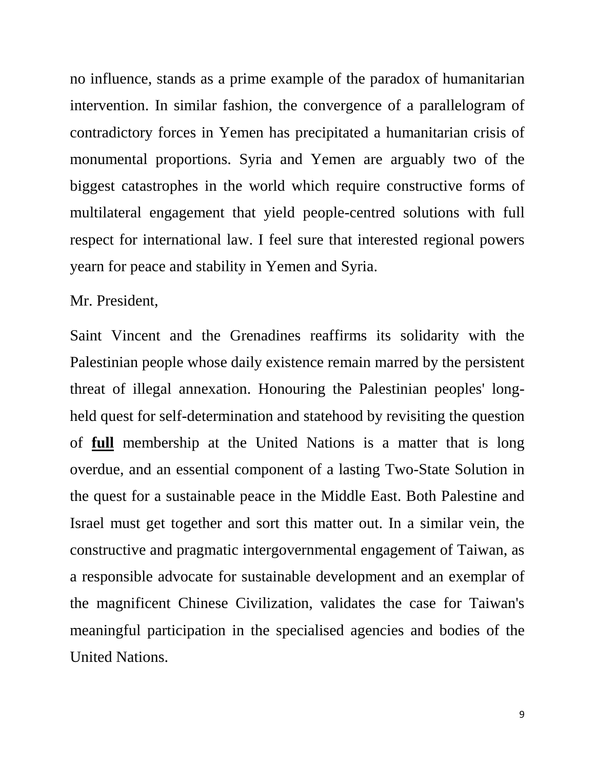no influence, stands as a prime example of the paradox of humanitarian intervention. In similar fashion, the convergence of a parallelogram of contradictory forces in Yemen has precipitated a humanitarian crisis of monumental proportions. Syria and Yemen are arguably two of the biggest catastrophes in the world which require constructive forms of multilateral engagement that yield people-centred solutions with full respect for international law. I feel sure that interested regional powers yearn for peace and stability in Yemen and Syria.

#### Mr. President,

Saint Vincent and the Grenadines reaffirms its solidarity with the Palestinian people whose daily existence remain marred by the persistent threat of illegal annexation. Honouring the Palestinian peoples' longheld quest for self-determination and statehood by revisiting the question of **full** membership at the United Nations is a matter that is long overdue, and an essential component of a lasting Two-State Solution in the quest for a sustainable peace in the Middle East. Both Palestine and Israel must get together and sort this matter out. In a similar vein, the constructive and pragmatic intergovernmental engagement of Taiwan, as a responsible advocate for sustainable development and an exemplar of the magnificent Chinese Civilization, validates the case for Taiwan's meaningful participation in the specialised agencies and bodies of the United Nations.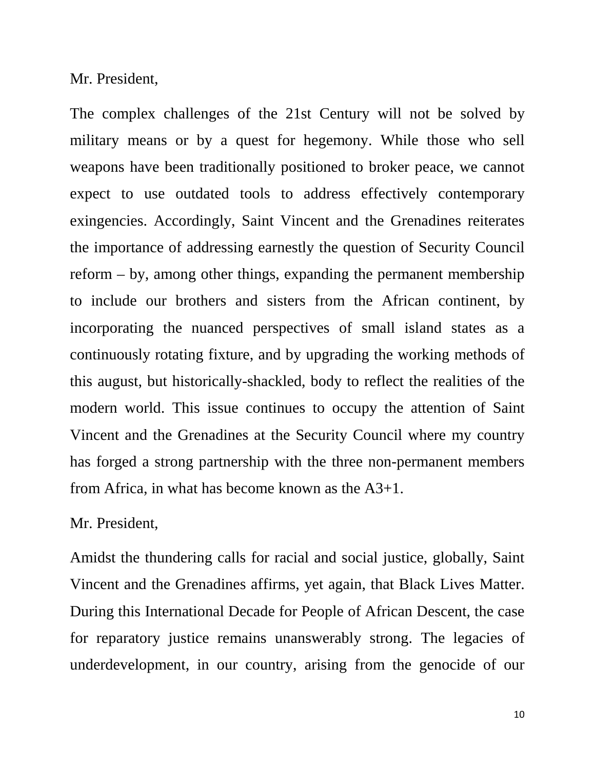Mr. President,

The complex challenges of the 21st Century will not be solved by military means or by a quest for hegemony. While those who sell weapons have been traditionally positioned to broker peace, we cannot expect to use outdated tools to address effectively contemporary exingencies. Accordingly, Saint Vincent and the Grenadines reiterates the importance of addressing earnestly the question of Security Council reform – by, among other things, expanding the permanent membership to include our brothers and sisters from the African continent, by incorporating the nuanced perspectives of small island states as a continuously rotating fixture, and by upgrading the working methods of this august, but historically-shackled, body to reflect the realities of the modern world. This issue continues to occupy the attention of Saint Vincent and the Grenadines at the Security Council where my country has forged a strong partnership with the three non-permanent members from Africa, in what has become known as the A3+1.

#### Mr. President,

Amidst the thundering calls for racial and social justice, globally, Saint Vincent and the Grenadines affirms, yet again, that Black Lives Matter. During this International Decade for People of African Descent, the case for reparatory justice remains unanswerably strong. The legacies of underdevelopment, in our country, arising from the genocide of our